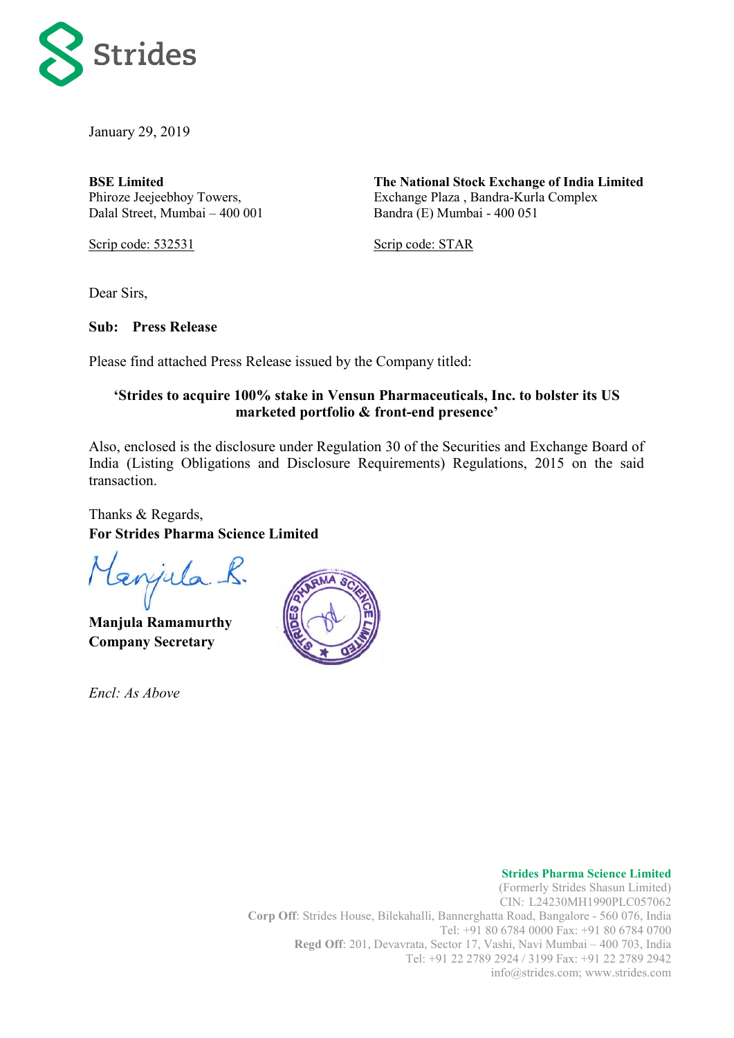

January 29, 2019

**BSE Limited**  Phiroze Jeejeebhoy Towers, Dalal Street, Mumbai – 400 001 **The National Stock Exchange of India Limited** Exchange Plaza , Bandra-Kurla Complex Bandra (E) Mumbai - 400 051

Scrip code: 532531

Scrip code: STAR

Dear Sirs,

**Sub: Press Release**

Please find attached Press Release issued by the Company titled:

## **'Strides to acquire 100% stake in Vensun Pharmaceuticals, Inc. to bolster its US marketed portfolio & front-end presence'**

Also, enclosed is the disclosure under Regulation 30 of the Securities and Exchange Board of India (Listing Obligations and Disclosure Requirements) Regulations, 2015 on the said transaction.

Thanks & Regards, **For Strides Pharma Science Limited**

tenjula K.

**Manjula Ramamurthy Company Secretary**

*Encl: As Above*



#### **Strides Pharma Science Limited**

(Formerly Strides Shasun Limited) CIN: L24230MH1990PLC057062 **Corp Off**: Strides House, Bilekahalli, Bannerghatta Road, Bangalore - 560 076, India [Tel: +91](tel:+91) 80 6784 0000 Fax: +91 80 6784 0700 **Regd Off**: 201, Devavrata, Sector 17, Vashi, Navi Mumbai – 400 703, India Tel: +91 22 2789 2924 / 3199 Fax: +91 22 2789 2942 info@strides.com; www.strides.com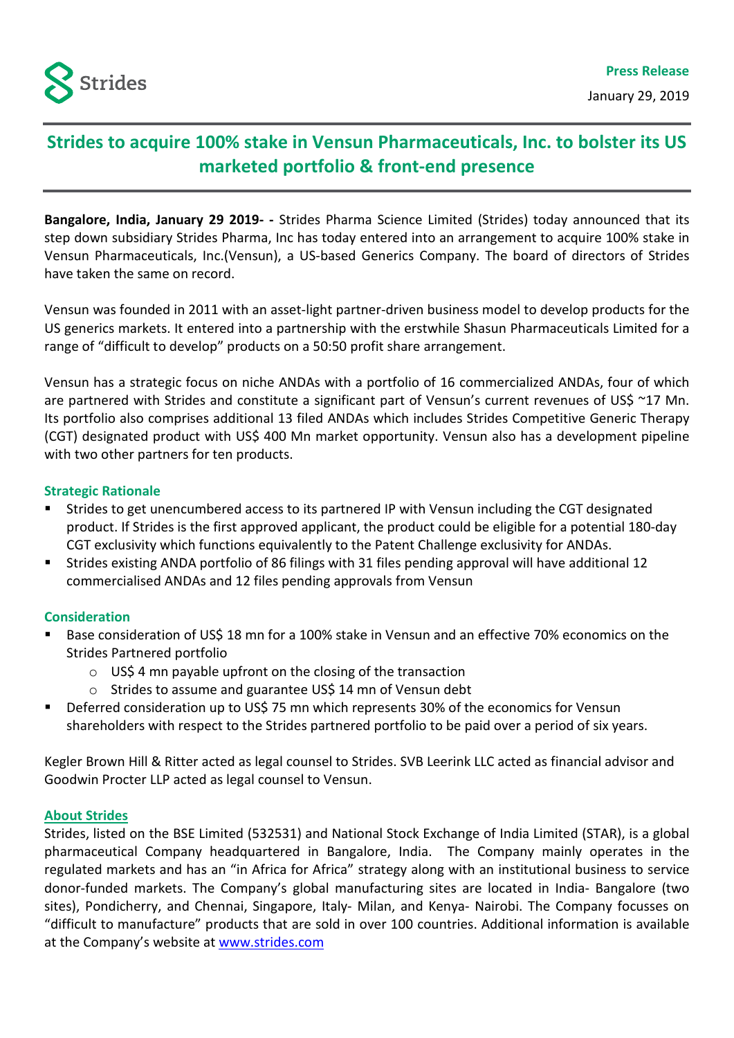

# **Strides to acquire 100% stake in Vensun Pharmaceuticals, Inc. to bolster its US marketed portfolio & front-end presence**

**Bangalore, India, January 29 2019- -** Strides Pharma Science Limited (Strides) today announced that its step down subsidiary Strides Pharma, Inc has today entered into an arrangement to acquire 100% stake in Vensun Pharmaceuticals, Inc.(Vensun), a US-based Generics Company. The board of directors of Strides have taken the same on record.

Vensun was founded in 2011 with an asset-light partner-driven business model to develop products for the US generics markets. It entered into a partnership with the erstwhile Shasun Pharmaceuticals Limited for a range of "difficult to develop" products on a 50:50 profit share arrangement.

Vensun has a strategic focus on niche ANDAs with a portfolio of 16 commercialized ANDAs, four of which are partnered with Strides and constitute a significant part of Vensun's current revenues of US\$ ~17 Mn. Its portfolio also comprises additional 13 filed ANDAs which includes Strides Competitive Generic Therapy (CGT) designated product with US\$ 400 Mn market opportunity. Vensun also has a development pipeline with two other partners for ten products.

### **Strategic Rationale**

- Strides to get unencumbered access to its partnered IP with Vensun including the CGT designated product. If Strides is the first approved applicant, the product could be eligible for a potential 180-day CGT exclusivity which functions equivalently to the Patent Challenge exclusivity for ANDAs.
- Strides existing ANDA portfolio of 86 filings with 31 files pending approval will have additional 12 commercialised ANDAs and 12 files pending approvals from Vensun

### **Consideration**

- Base consideration of US\$ 18 mn for a 100% stake in Vensun and an effective 70% economics on the Strides Partnered portfolio
	- $\circ$  USS 4 mn payable upfront on the closing of the transaction
	- o Strides to assume and guarantee US\$ 14 mn of Vensun debt
- Deferred consideration up to US\$ 75 mn which represents 30% of the economics for Vensun shareholders with respect to the Strides partnered portfolio to be paid over a period of six years.

Kegler Brown Hill & Ritter acted as legal counsel to Strides. SVB Leerink LLC acted as financial advisor and Goodwin Procter LLP acted as legal counsel to Vensun.

### **About Strides**

Strides, listed on the BSE Limited (532531) and National Stock Exchange of India Limited (STAR), is a global pharmaceutical Company headquartered in Bangalore, India. The Company mainly operates in the regulated markets and has an "in Africa for Africa" strategy along with an institutional business to service donor-funded markets. The Company's global manufacturing sites are located in India- Bangalore (two sites), Pondicherry, and Chennai, Singapore, Italy- Milan, and Kenya- Nairobi. The Company focusses on "difficult to manufacture" products that are sold in over 100 countries. Additional information is available at the Company's website at [www.strides.com](http://www.strides.com/)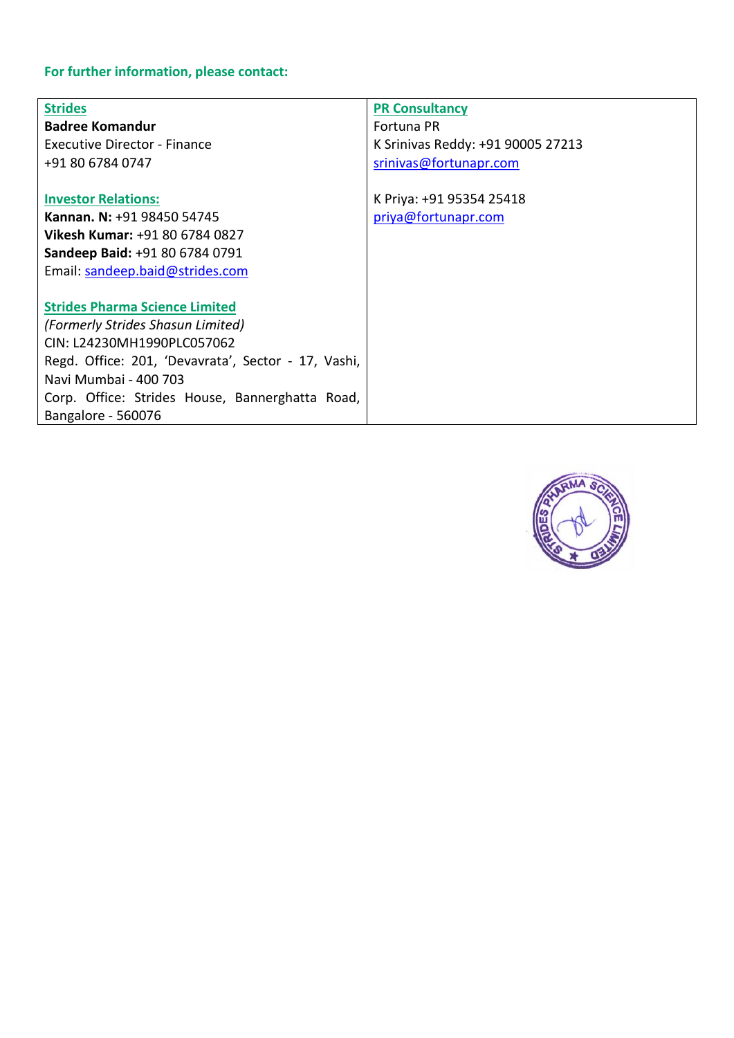# **For further information, please contact:**

| <b>Strides</b>                                      | <b>PR Consultancy</b>             |
|-----------------------------------------------------|-----------------------------------|
| <b>Badree Komandur</b>                              | Fortuna PR                        |
| Executive Director - Finance                        | K Srinivas Reddy: +91 90005 27213 |
| +91 80 6784 0747                                    | srinivas@fortunapr.com            |
|                                                     |                                   |
| <b>Investor Relations:</b>                          | K Priya: +91 95354 25418          |
| Kannan. N: +91 98450 54745                          | priya@fortunapr.com               |
| <b>Vikesh Kumar: +91 80 6784 0827</b>               |                                   |
| Sandeep Baid: +91 80 6784 0791                      |                                   |
| Email: sandeep.baid@strides.com                     |                                   |
|                                                     |                                   |
| <b>Strides Pharma Science Limited</b>               |                                   |
| (Formerly Strides Shasun Limited)                   |                                   |
| CIN: L24230MH1990PLC057062                          |                                   |
| Regd. Office: 201, 'Devavrata', Sector - 17, Vashi, |                                   |
| Navi Mumbai - 400 703                               |                                   |
| Corp. Office: Strides House, Bannerghatta Road,     |                                   |
| Bangalore - 560076                                  |                                   |

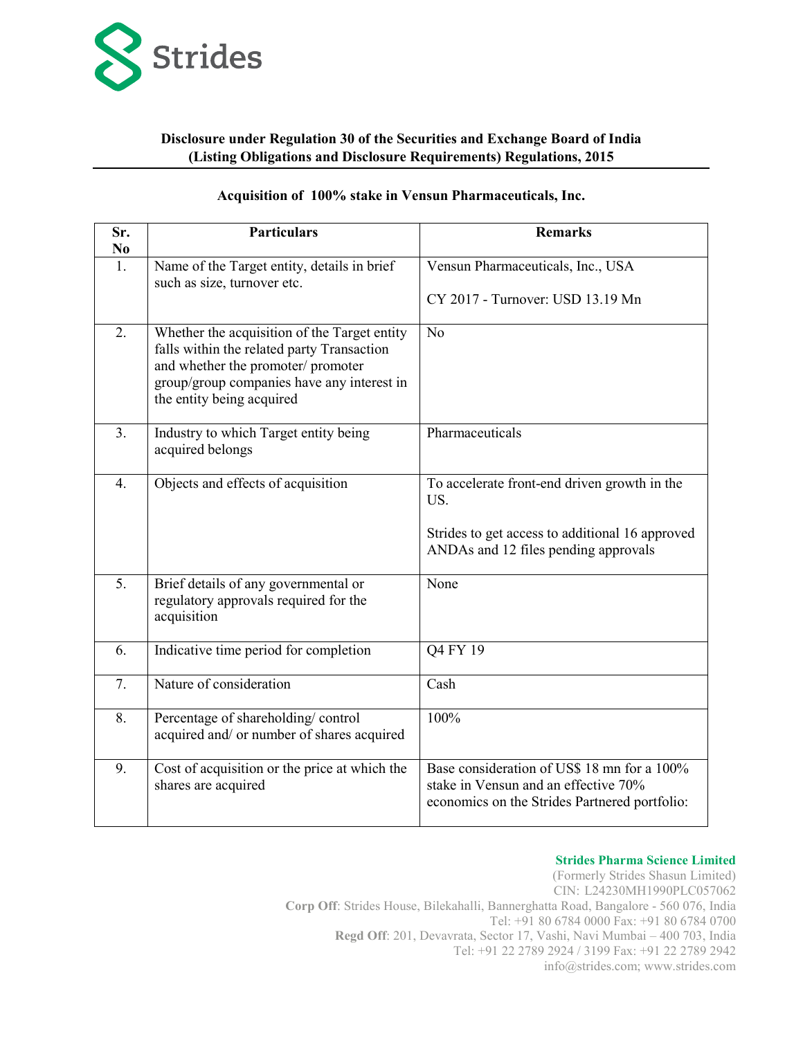

#### **Disclosure under Regulation 30 of the Securities and Exchange Board of India (Listing Obligations and Disclosure Requirements) Regulations, 2015**

#### **Acquisition of 100% stake in Vensun Pharmaceuticals, Inc.**

| Sr.<br>N <sub>0</sub> | <b>Particulars</b>                                                                                                                                                                                          | <b>Remarks</b>                                                                                                                                 |  |
|-----------------------|-------------------------------------------------------------------------------------------------------------------------------------------------------------------------------------------------------------|------------------------------------------------------------------------------------------------------------------------------------------------|--|
| 1.                    | Name of the Target entity, details in brief<br>such as size, turnover etc.                                                                                                                                  | Vensun Pharmaceuticals, Inc., USA<br>CY 2017 - Turnover: USD 13.19 Mn                                                                          |  |
| 2.                    | Whether the acquisition of the Target entity<br>falls within the related party Transaction<br>and whether the promoter/ promoter<br>group/group companies have any interest in<br>the entity being acquired | No                                                                                                                                             |  |
| 3.                    | Industry to which Target entity being<br>acquired belongs                                                                                                                                                   | Pharmaceuticals                                                                                                                                |  |
| 4.                    | Objects and effects of acquisition                                                                                                                                                                          | To accelerate front-end driven growth in the<br>US.<br>Strides to get access to additional 16 approved<br>ANDAs and 12 files pending approvals |  |
| 5.                    | Brief details of any governmental or<br>regulatory approvals required for the<br>acquisition                                                                                                                | None                                                                                                                                           |  |
| 6.                    | Indicative time period for completion                                                                                                                                                                       | Q4 FY 19                                                                                                                                       |  |
| 7.                    | Nature of consideration                                                                                                                                                                                     | Cash                                                                                                                                           |  |
| 8.                    | Percentage of shareholding/control<br>acquired and/ or number of shares acquired                                                                                                                            | 100%                                                                                                                                           |  |
| 9.                    | Cost of acquisition or the price at which the<br>shares are acquired                                                                                                                                        | Base consideration of US\$ 18 mn for a 100%<br>stake in Vensun and an effective 70%<br>economics on the Strides Partnered portfolio:           |  |

#### **Strides Pharma Science Limited**

(Formerly Strides Shasun Limited) CIN: L24230MH1990PLC057062 **Corp Off**: Strides House, Bilekahalli, Bannerghatta Road, Bangalore - 560 076, India [Tel: +91](tel:+91) 80 6784 0000 Fax: +91 80 6784 0700 **Regd Off**: 201, Devavrata, Sector 17, Vashi, Navi Mumbai – 400 703, India Tel: +91 22 2789 2924 / 3199 Fax: +91 22 2789 2942 info@strides.com; www.strides.com